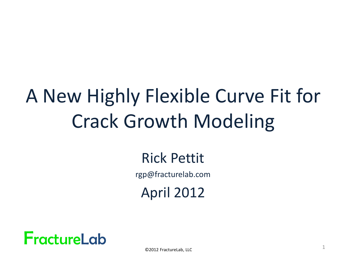# A New Highly Flexible Curve Fit for Crack Growth Modeling

#### Rick Pettit

rgp@fracturelab.com

April 2012

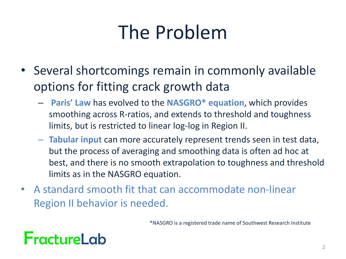## The Problem

- Several shortcomings remain in commonly available options for fitting crack growth data
	- **Paris' Law** has evolved to the **NASGRO\* equation**, which provides smoothing across R-ratios, and extends to threshold and toughness limits, but is restricted to linear log-log in Region II.
	- **Tabular input** can more accurately represent trends seen in test data, but the process of averaging and smoothing data is often ad hoc at best, and there is no smooth extrapolation to toughness and threshold limits as in the NASGRO equation.
- A standard smooth fit that can accommodate non-linear Region II behavior is needed.

\*NASGRO is a registered trade name of Southwest Research Institute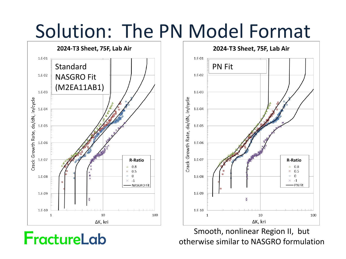### Solution: The PN Model Format





Smooth, nonlinear Region II, but otherwise similar to NASGRO formulation

FractureLab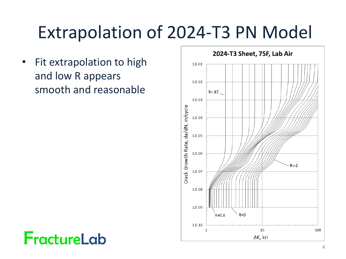### Extrapolation of 2024-T3 PN Model

• Fit extrapolation to high and low R appears smooth and reasonable

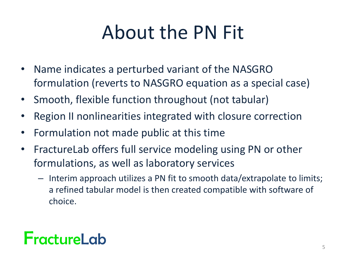## About the PN Fit

- Name indicates a perturbed variant of the NASGRO formulation (reverts to NASGRO equation as a special case)
- Smooth, flexible function throughout (not tabular)
- Region II nonlinearities integrated with closure correction
- Formulation not made public at this time
- FractureLab offers full service modeling using PN or other formulations, as well as laboratory services
	- Interim approach utilizes a PN fit to smooth data/extrapolate to limits; a refined tabular model is then created compatible with software of choice.